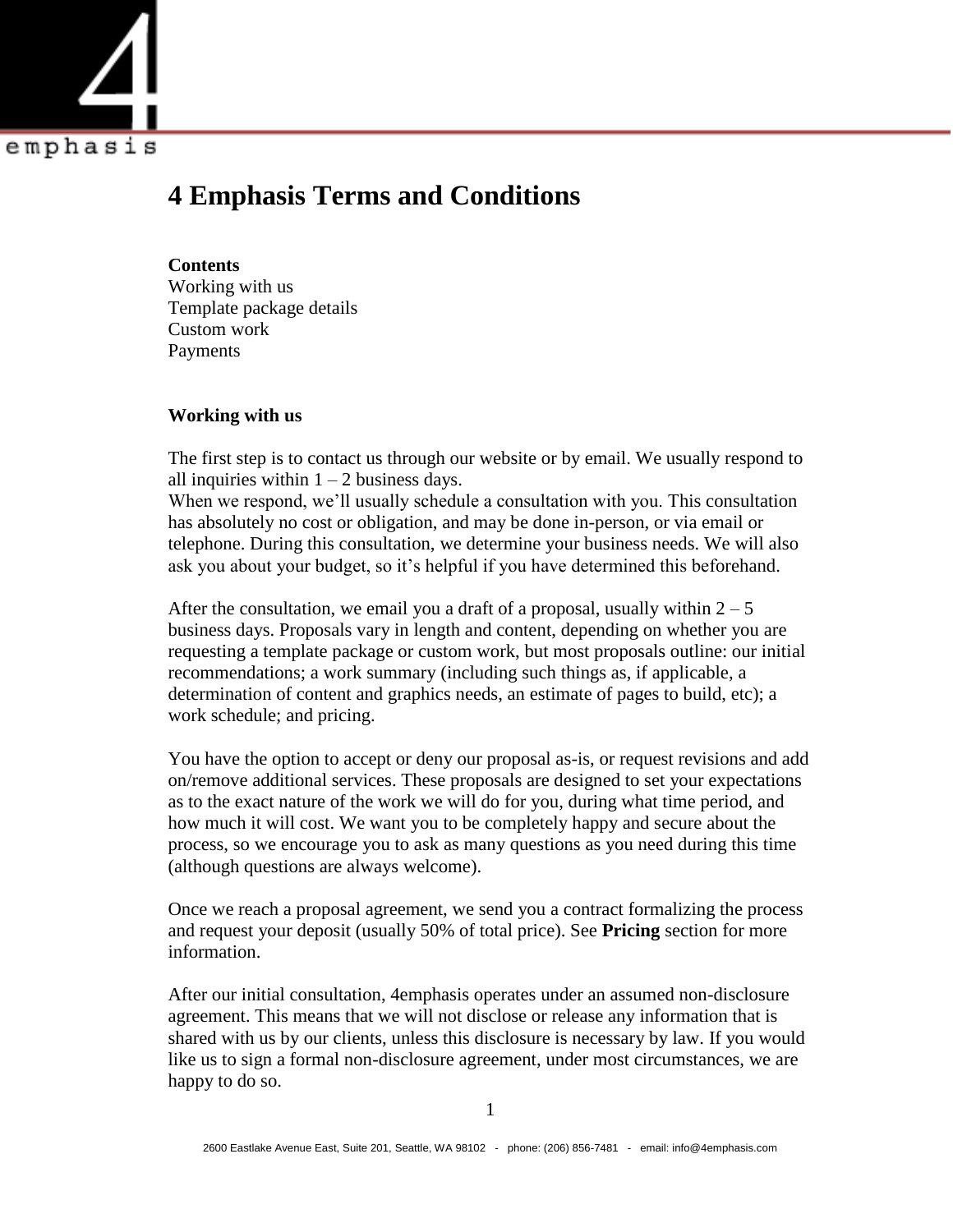

# **4 Emphasis Terms and Conditions**

#### **Contents**

Working with us Template package details Custom work Payments

## **Working with us**

The first step is to contact us through our website or by email. We usually respond to all inquiries within  $1 - 2$  business days.

When we respond, we'll usually schedule a consultation with you. This consultation has absolutely no cost or obligation, and may be done in-person, or via email or telephone. During this consultation, we determine your business needs. We will also ask you about your budget, so it's helpful if you have determined this beforehand.

After the consultation, we email you a draft of a proposal, usually within  $2 - 5$ business days. Proposals vary in length and content, depending on whether you are requesting a template package or custom work, but most proposals outline: our initial recommendations; a work summary (including such things as, if applicable, a determination of content and graphics needs, an estimate of pages to build, etc); a work schedule; and pricing.

You have the option to accept or deny our proposal as-is, or request revisions and add on/remove additional services. These proposals are designed to set your expectations as to the exact nature of the work we will do for you, during what time period, and how much it will cost. We want you to be completely happy and secure about the process, so we encourage you to ask as many questions as you need during this time (although questions are always welcome).

Once we reach a proposal agreement, we send you a contract formalizing the process and request your deposit (usually 50% of total price). See **Pricing** section for more information.

After our initial consultation, 4emphasis operates under an assumed non-disclosure agreement. This means that we will not disclose or release any information that is shared with us by our clients, unless this disclosure is necessary by law. If you would like us to sign a formal non-disclosure agreement, under most circumstances, we are happy to do so.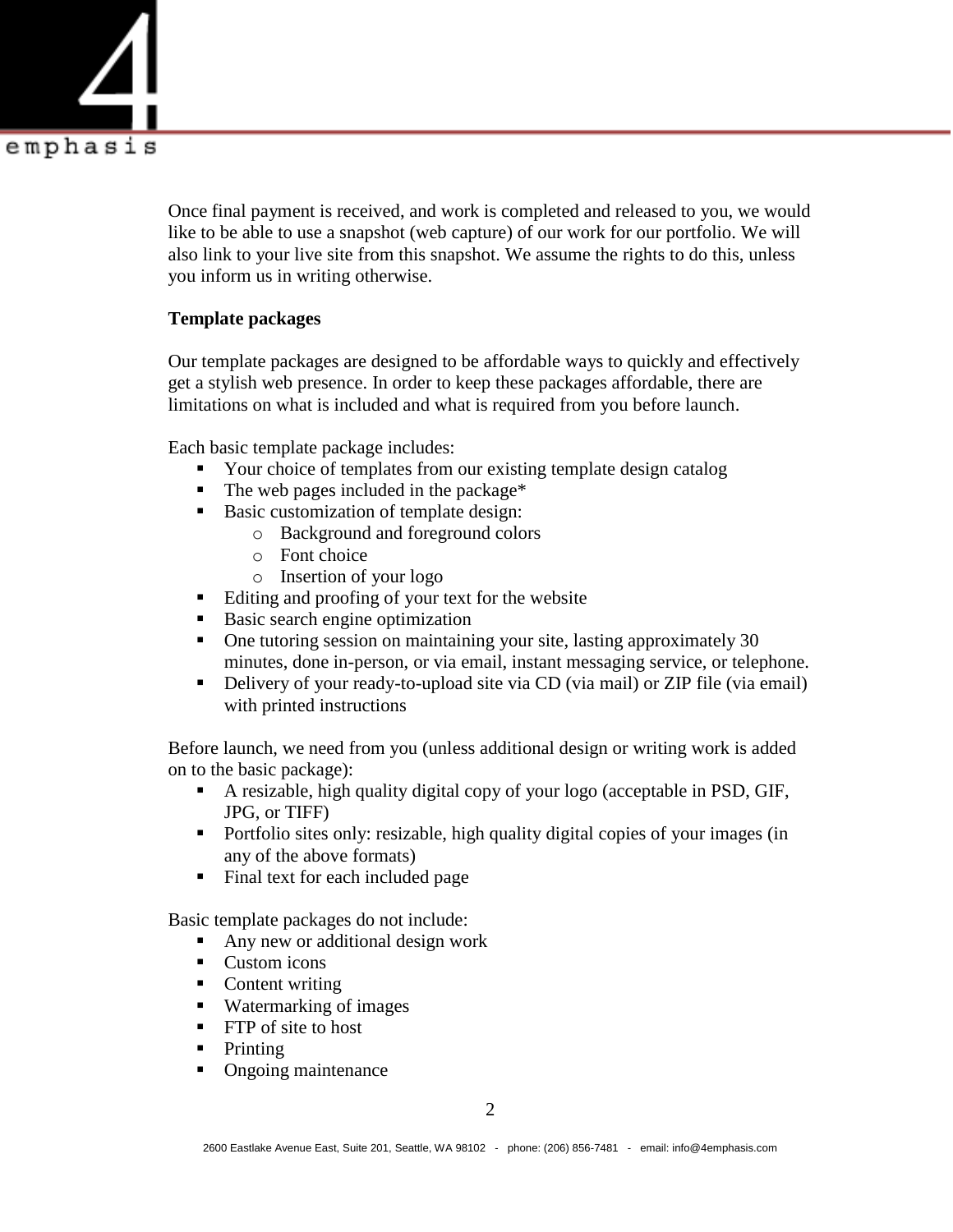

Once final payment is received, and work is completed and released to you, we would like to be able to use a snapshot (web capture) of our work for our portfolio. We will also link to your live site from this snapshot. We assume the rights to do this, unless you inform us in writing otherwise.

## **Template packages**

Our template packages are designed to be affordable ways to quickly and effectively get a stylish web presence. In order to keep these packages affordable, there are limitations on what is included and what is required from you before launch.

Each basic template package includes:

- Your choice of templates from our existing template design catalog
- The web pages included in the package\*
- Basic customization of template design:
	- o Background and foreground colors
		- o Font choice
		- o Insertion of your logo
- Editing and proofing of your text for the website
- Basic search engine optimization
- One tutoring session on maintaining your site, lasting approximately 30 minutes, done in-person, or via email, instant messaging service, or telephone.
- Delivery of your ready-to-upload site via CD (via mail) or ZIP file (via email) with printed instructions

Before launch, we need from you (unless additional design or writing work is added on to the basic package):

- A resizable, high quality digital copy of your logo (acceptable in PSD, GIF, JPG, or TIFF)
- Portfolio sites only: resizable, high quality digital copies of your images (in any of the above formats)
- Final text for each included page

Basic template packages do not include:

- Any new or additional design work
- Custom icons
- Content writing
- Watermarking of images
- **FTP** of site to host
- $\blacksquare$  Printing
- Ongoing maintenance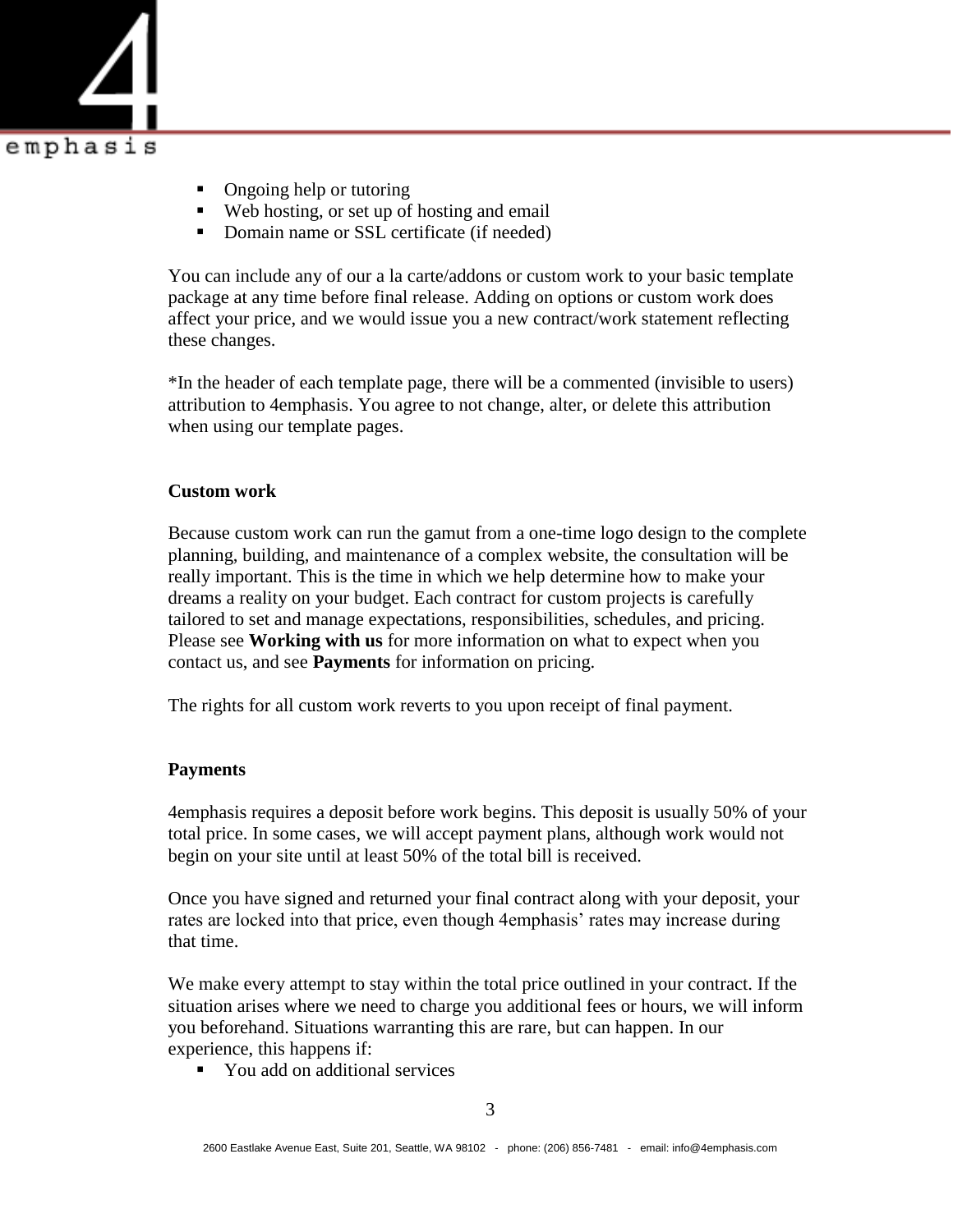

- Ongoing help or tutoring
- Web hosting, or set up of hosting and email
- Domain name or SSL certificate (if needed)

You can include any of our a la carte/addons or custom work to your basic template package at any time before final release. Adding on options or custom work does affect your price, and we would issue you a new contract/work statement reflecting these changes.

\*In the header of each template page, there will be a commented (invisible to users) attribution to 4emphasis. You agree to not change, alter, or delete this attribution when using our template pages.

## **Custom work**

Because custom work can run the gamut from a one-time logo design to the complete planning, building, and maintenance of a complex website, the consultation will be really important. This is the time in which we help determine how to make your dreams a reality on your budget. Each contract for custom projects is carefully tailored to set and manage expectations, responsibilities, schedules, and pricing. Please see **Working with us** for more information on what to expect when you contact us, and see **Payments** for information on pricing.

The rights for all custom work reverts to you upon receipt of final payment.

## **Payments**

4emphasis requires a deposit before work begins. This deposit is usually 50% of your total price. In some cases, we will accept payment plans, although work would not begin on your site until at least 50% of the total bill is received.

Once you have signed and returned your final contract along with your deposit, your rates are locked into that price, even though 4emphasis' rates may increase during that time.

We make every attempt to stay within the total price outlined in your contract. If the situation arises where we need to charge you additional fees or hours, we will inform you beforehand. Situations warranting this are rare, but can happen. In our experience, this happens if:

■ You add on additional services